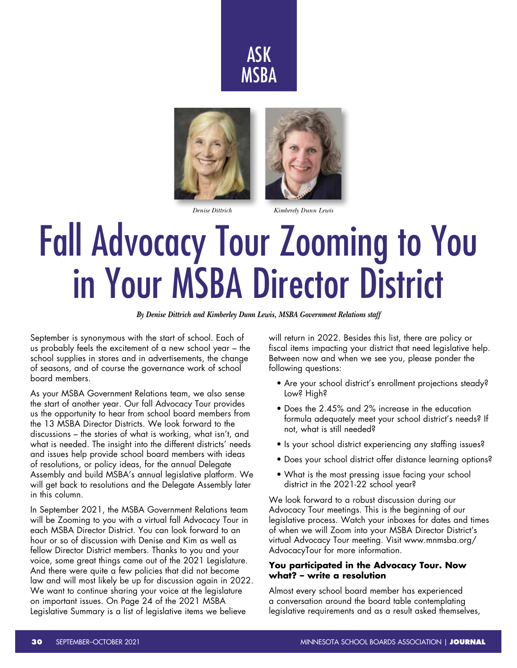





#### *Denise Dittrich Kimberely Dunn Lewis*

# Fall Advocacy Tour Zooming to You in Your MSBA Director District

*By Denise Dittrich and Kimberley Dunn Lewis, MSBA Government Relations staff*

September is synonymous with the start of school. Each of us probably feels the excitement of a new school year – the school supplies in stores and in advertisements, the change of seasons, and of course the governance work of school board members.

As your MSBA Government Relations team, we also sense the start of another year. Our fall Advocacy Tour provides us the opportunity to hear from school board members from the 13 MSBA Director Districts. We look forward to the discussions – the stories of what is working, what isn't, and what is needed. The insight into the different districts' needs and issues help provide school board members with ideas of resolutions, or policy ideas, for the annual Delegate Assembly and build MSBA's annual legislative platform. We will get back to resolutions and the Delegate Assembly later in this column.

In September 2021, the MSBA Government Relations team will be Zooming to you with a virtual fall Advocacy Tour in each MSBA Director District. You can look forward to an hour or so of discussion with Denise and Kim as well as fellow Director District members. Thanks to you and your voice, some great things came out of the 2021 Legislature. And there were quite a few policies that did not become law and will most likely be up for discussion again in 2022. We want to continue sharing your voice at the legislature on important issues. On Page 24 of the 2021 MSBA Legislative Summary is a list of legislative items we believe

will return in 2022. Besides this list, there are policy or fiscal items impacting your district that need legislative help. Between now and when we see you, please ponder the following questions:

- Are your school district's enrollment projections steady? Low? High?
- Does the 2.45% and 2% increase in the education formula adequately meet your school district's needs? If not, what is still needed?
- Is your school district experiencing any staffing issues?
- Does your school district offer distance learning options?
- What is the most pressing issue facing your school district in the 2021-22 school year?

We look forward to a robust discussion during our Advocacy Tour meetings. This is the beginning of our legislative process. Watch your inboxes for dates and times of when we will Zoom into your MSBA Director District's virtual Advocacy Tour meeting. Visit www.mnmsba.org/ AdvocacyTour for more information.

### **You participated in the Advocacy Tour. Now what? – write a resolution**

Almost every school board member has experienced a conversation around the board table contemplating legislative requirements and as a result asked themselves,